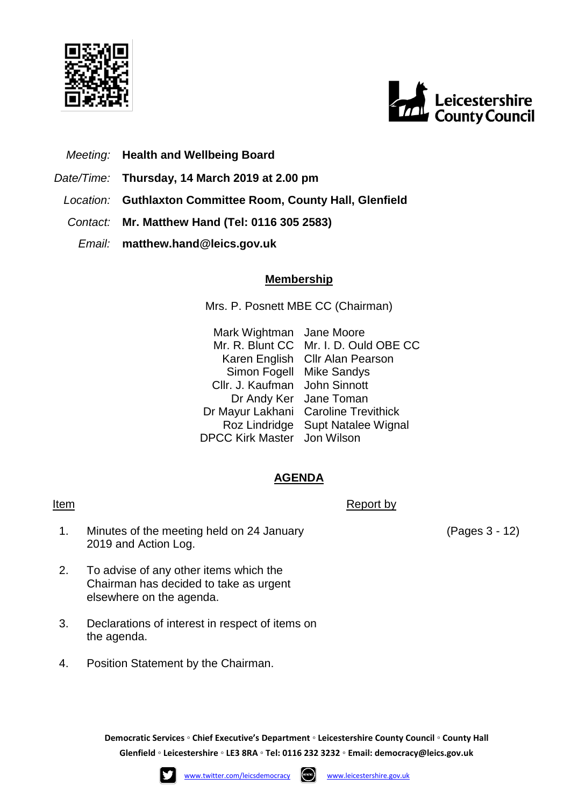



- *Meeting:* **Health and Wellbeing Board**
- *Date/Time:* **Thursday, 14 March 2019 at 2.00 pm**
	- *Location:* **Guthlaxton Committee Room, County Hall, Glenfield**
	- *Contact:* **Mr. Matthew Hand (Tel: 0116 305 2583)**
		- *Email:* **matthew.hand@leics.gov.uk**

### **Membership**

Mrs. P. Posnett MBE CC (Chairman)

Mark Wightman Jane Moore Mr. R. Blunt CC Mr. I. D. Ould OBE CC Karen English Cllr Alan Pearson Simon Fogell Mike Sandys Cllr. J. Kaufman John Sinnott Dr Andy Ker Jane Toman Dr Mayur Lakhani Caroline Trevithick Roz Lindridge Supt Natalee Wignal DPCC Kirk Master Jon Wilson

## **AGENDA**

### Item Report by The Report by The Report by The Report by The Report by The Report by The Report by The Report by The Report by The Report by The Report by The Report by The Report by The Report by The Report by The Report

- 1. Minutes of the meeting held on 24 January 2019 and Action Log.
- 2. To advise of any other items which the Chairman has decided to take as urgent elsewhere on the agenda.
- 3. Declarations of interest in respect of items on the agenda.
- 4. Position Statement by the Chairman.

**Democratic Services ◦ Chief Executive's Department ◦ Leicestershire County Council ◦ County Hall Glenfield ◦ Leicestershire ◦ LE3 8RA ◦ Tel: 0116 232 3232 ◦ Email: [democracy@leics.gov.uk](mailto:democracy@leics.gov.uk)**





(Pages 3 - 12)